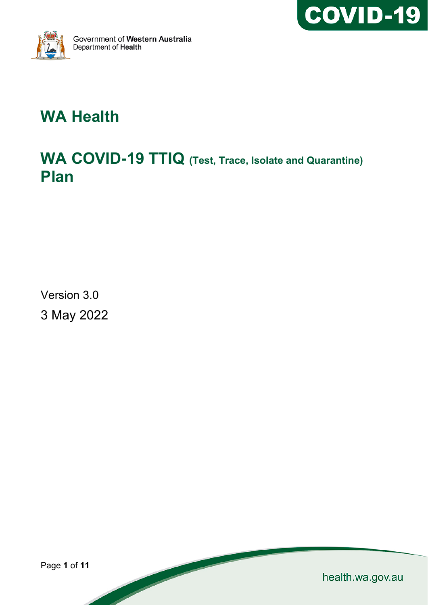



# **WA Health**

# **WA COVID-19 TTIQ (Test, Trace, Isolate and Quarantine) Plan**

Version 3.0 3 May 2022

Page **1** of **11**

health.wa.gov.au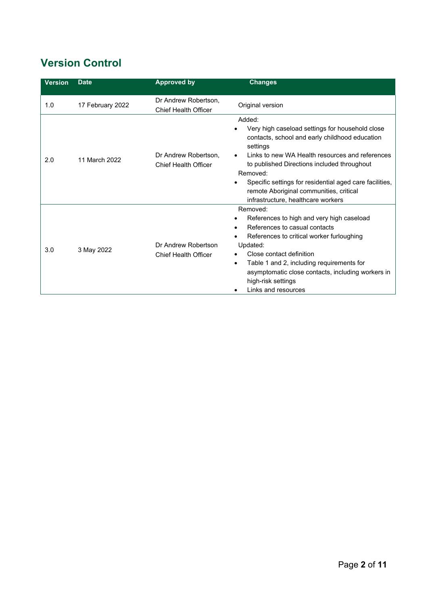## **Version Control**

| <b>Version</b> | <b>Date</b>      | <b>Approved by</b>                                  | <b>Changes</b>                                                                                                                                                                                                                                                                                                                                                                    |
|----------------|------------------|-----------------------------------------------------|-----------------------------------------------------------------------------------------------------------------------------------------------------------------------------------------------------------------------------------------------------------------------------------------------------------------------------------------------------------------------------------|
| 1.0            | 17 February 2022 | Dr Andrew Robertson,<br><b>Chief Health Officer</b> | Original version                                                                                                                                                                                                                                                                                                                                                                  |
| 2.0            | 11 March 2022    | Dr Andrew Robertson.<br><b>Chief Health Officer</b> | Added:<br>Very high caseload settings for household close<br>contacts, school and early childhood education<br>settings<br>Links to new WA Health resources and references<br>to published Directions included throughout<br>Removed:<br>Specific settings for residential aged care facilities,<br>remote Aboriginal communities, critical<br>infrastructure, healthcare workers |
| 3.0            | 3 May 2022       | Dr Andrew Robertson<br><b>Chief Health Officer</b>  | Removed:<br>References to high and very high caseload<br>References to casual contacts<br>References to critical worker furloughing<br>Updated:<br>Close contact definition<br>Table 1 and 2, including requirements for<br>$\bullet$<br>asymptomatic close contacts, including workers in<br>high-risk settings<br>Links and resources                                           |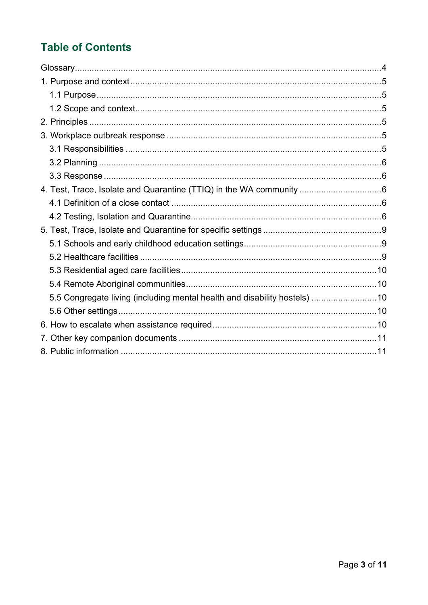## **Table of Contents**

| 5.5 Congregate living (including mental health and disability hostels) 10 |  |
|---------------------------------------------------------------------------|--|
|                                                                           |  |
|                                                                           |  |
|                                                                           |  |
|                                                                           |  |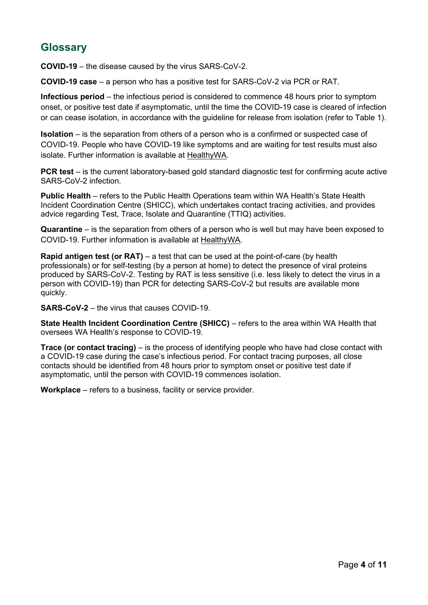## <span id="page-3-0"></span>**Glossary**

**COVID-19** – the disease caused by the virus SARS-CoV-2.

**COVID-19 case** – a person who has a positive test for SARS-CoV-2 via PCR or RAT.

**Infectious period** – the infectious period is considered to commence 48 hours prior to symptom onset, or positive test date if asymptomatic, until the time the COVID-19 case is cleared of infection or can cease isolation, in accordance with the guideline for release from isolation (refer to Table 1).

**Isolation** – is the separation from others of a person who is a confirmed or suspected case of COVID-19. People who have COVID-19 like symptoms and are waiting for test results must also isolate. Further information is available at [HealthyWA.](https://www.healthywa.wa.gov.au/Articles/A_E/Coronavirus/Quarantine-and-isolation)

**PCR test** – is the current laboratory-based gold standard diagnostic test for confirming acute active SARS-CoV-2 infection.

**Public Health** – refers to the Public Health Operations team within WA Health's State Health Incident Coordination Centre (SHICC), which undertakes contact tracing activities, and provides advice regarding Test, Trace, Isolate and Quarantine (TTIQ) activities.

**Quarantine** – is the separation from others of a person who is well but may have been exposed to COVID-19. Further information is available at [HealthyWA.](https://www.healthywa.wa.gov.au/Articles/A_E/Coronavirus/Quarantine-and-isolation)

**Rapid antigen test (or RAT)** – a test that can be used at the point-of-care (by health professionals) or for self-testing (by a person at home) to detect the presence of viral proteins produced by SARS-CoV-2. Testing by RAT is less sensitive (i.e. less likely to detect the virus in a person with COVID-19) than PCR for detecting SARS-CoV-2 but results are available more quickly.

**SARS-CoV-2** – the virus that causes COVID-19.

**State Health Incident Coordination Centre (SHICC)** – refers to the area within WA Health that oversees WA Health's response to COVID-19.

**Trace (or contact tracing)** – is the process of identifying people who have had close contact with a COVID-19 case during the case's infectious period. For contact tracing purposes, all close contacts should be identified from 48 hours prior to symptom onset or positive test date if asymptomatic, until the person with COVID-19 commences isolation.

**Workplace** – refers to a business, facility or service provider.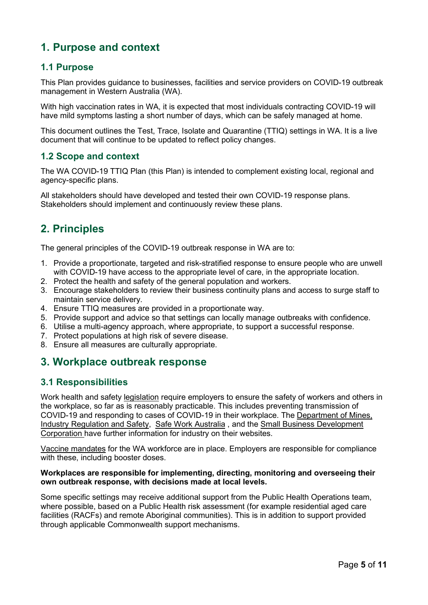## <span id="page-4-0"></span>**1. Purpose and context**

### <span id="page-4-1"></span>**1.1 Purpose**

This Plan provides guidance to businesses, facilities and service providers on COVID-19 outbreak management in Western Australia (WA).

With high vaccination rates in WA, it is expected that most individuals contracting COVID-19 will have mild symptoms lasting a short number of days, which can be safely managed at home.

This document outlines the Test, Trace, Isolate and Quarantine (TTIQ) settings in WA. It is a live document that will continue to be updated to reflect policy changes.

#### <span id="page-4-2"></span>**1.2 Scope and context**

The WA COVID-19 TTIQ Plan (this Plan) is intended to complement existing local, regional and agency-specific plans.

All stakeholders should have developed and tested their own COVID-19 response plans. Stakeholders should implement and continuously review these plans.

## <span id="page-4-3"></span>**2. Principles**

The general principles of the COVID-19 outbreak response in WA are to:

- 1. Provide a proportionate, targeted and risk-stratified response to ensure people who are unwell with COVID-19 have access to the appropriate level of care, in the appropriate location.
- 2. Protect the health and safety of the general population and workers.
- 3. Encourage stakeholders to review their business continuity plans and access to surge staff to maintain service delivery.
- 4. Ensure TTIQ measures are provided in a proportionate way.
- 5. Provide support and advice so that settings can locally manage outbreaks with confidence.
- 6. Utilise a multi-agency approach, where appropriate, to support a successful response.
- 7. Protect populations at high risk of severe disease.
- 8. Ensure all measures are culturally appropriate.

## <span id="page-4-4"></span>**3. Workplace outbreak response**

#### <span id="page-4-5"></span>**3.1 Responsibilities**

Work health and safety [legislation](https://www.commerce.wa.gov.au/worksafe/managing-covid-19-risks-workplace) require employers to ensure the safety of workers and others in the workplace, so far as is reasonably practicable. This includes preventing transmission of COVID-19 and responding to cases of COVID-19 in their workplace. The [Department of Mines,](https://www.commerce.wa.gov.au/worksafe/managing-covid-19-risks-workplace)  [Industry Regulation and Safety,](https://www.commerce.wa.gov.au/worksafe/managing-covid-19-risks-workplace) [Safe Work Australia](https://covid19.swa.gov.au/covid-19-information-workplaces) , and the [Small Business Development](https://www.smallbusiness.wa.gov.au/coronavirus)  [Corporation](https://www.smallbusiness.wa.gov.au/coronavirus) have further information for industry on their websites.

[Vaccine mandates](https://www.wa.gov.au/government/document-collections/covid-19-coronavirus-mandatory-vaccination) for the WA workforce are in place. Employers are responsible for compliance with these, [including booster](https://www.wa.gov.au/system/files/2022-01/220107_Booster_Vaccination_Restrictions_on_Access_Directions_No_2.pdf) doses.

#### **Workplaces are responsible for implementing, directing, monitoring and overseeing their own outbreak response, with decisions made at local levels.**

Some specific settings may receive additional support from the Public Health Operations team, where possible, based on a Public Health risk assessment (for example residential aged care facilities (RACFs) and remote Aboriginal communities). This is in addition to support provided through applicable Commonwealth support mechanisms.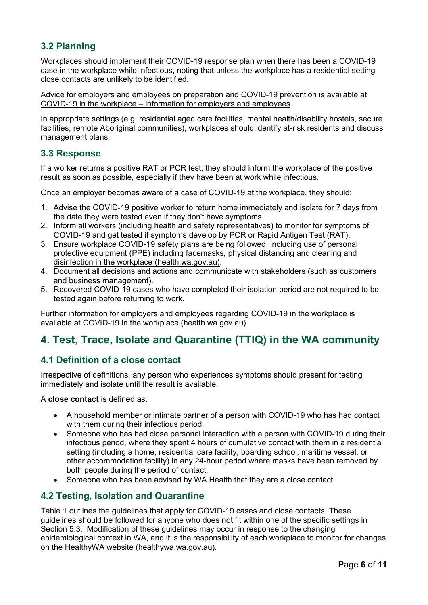## <span id="page-5-0"></span>**3.2 Planning**

Workplaces should implement their COVID-19 response plan when there has been a COVID-19 case in the workplace while infectious, noting that unless the workplace has a residential setting close contacts are unlikely to be identified.

Advice for employers and employees on preparation and COVID-19 prevention is available at COVID-19 in the workplace – [information for employers and employees.](https://ww2.health.wa.gov.au/Articles/A_E/Coronavirus/COVID19-information-for-business-and-industry/COVID19-in-the-workplace-Information-for-employers-and-employees)

In appropriate settings (e.g. residential aged care facilities, mental health/disability hostels, secure facilities, remote Aboriginal communities), workplaces should identify at-risk residents and discuss management plans.

### <span id="page-5-1"></span>**3.3 Response**

If a worker returns a positive RAT or PCR test, they should inform the workplace of the positive result as soon as possible, especially if they have been at work while infectious.

Once an employer becomes aware of a case of COVID-19 at the workplace, they should:

- 1. Advise the COVID-19 positive worker to return home immediately and isolate for 7 days from the date they were tested even if they don't have symptoms.
- 2. Inform all workers (including health and safety representatives) to monitor for symptoms of COVID-19 and get tested if symptoms develop by PCR or Rapid Antigen Test (RAT).
- 3. Ensure workplace COVID-19 safety plans are being followed, including use of personal protective equipment (PPE) including facemasks, physical distancing and [cleaning and](https://www.healthywa.wa.gov.au/%7E/media/Corp/Documents/Health-for/Infectious-disease/COVID19/COVID19-IPC-advice-on-cleaning-and-disinfecting-in-the-workplace.pdf)  [disinfection in the workplace \(health.wa.gov.au\).](https://www.healthywa.wa.gov.au/%7E/media/Corp/Documents/Health-for/Infectious-disease/COVID19/COVID19-IPC-advice-on-cleaning-and-disinfecting-in-the-workplace.pdf)
- 4. Document all decisions and actions and communicate with stakeholders (such as customers and business management).
- 5. Recovered COVID-19 cases who have completed their isolation period are not required to be tested again before returning to work.

Further information for employers and employees regarding COVID-19 in the workplace is available at [COVID-19 in the workplace \(health.wa.gov.au\).](https://ww2.health.wa.gov.au/Articles/A_E/Coronavirus/COVID19-information-for-business-and-industry/COVID19-in-the-workplace-Information-for-employers-and-employees)

## <span id="page-5-2"></span>**4. Test, Trace, Isolate and Quarantine (TTIQ) in the WA community**

### <span id="page-5-3"></span>**4.1 Definition of a close contact**

Irrespective of definitions, any person who experiences symptoms should [present for testing](https://www.healthywa.wa.gov.au/Articles/A_E/Coronavirus/COVID19-testing) immediately and isolate until the result is available.

A **close contact** is defined as:

- A household member or intimate partner of a person with COVID-19 who has had contact with them during their infectious period.
- Someone who has had close personal interaction with a person with COVID-19 during their infectious period, where they spent 4 hours of cumulative contact with them in a residential setting (including a home, residential care facility, boarding school, maritime vessel, or other accommodation facility) in any 24-hour period where masks have been removed by both people during the period of contact.
- Someone who has been advised by WA Health that they are a close contact.

### <span id="page-5-4"></span>**4.2 Testing, Isolation and Quarantine**

Table 1 outlines the guidelines that apply for COVID-19 cases and close contacts. These guidelines should be followed for anyone who does not fit within one of the specific settings in Section 5.3. Modification of these guidelines may occur in response to the changing epidemiological context in WA, and it is the responsibility of each workplace to monitor for changes on the [HealthyWA website \(healthywa.wa.gov.au\).](https://www.healthywa.wa.gov.au/Articles/A_E/Coronavirus)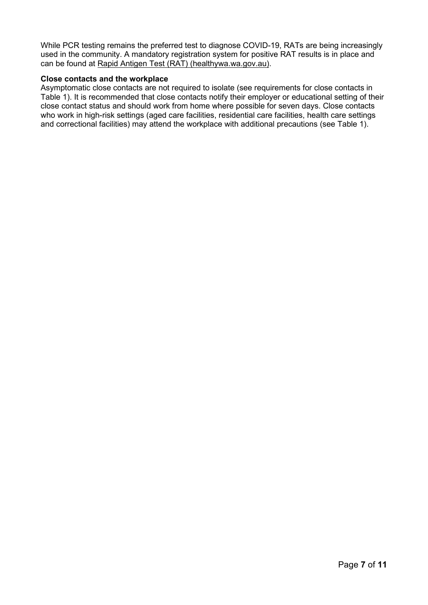While PCR testing remains the preferred test to diagnose COVID-19, RATs are being increasingly used in the community. A mandatory registration system for positive RAT results is in place and can be found at [Rapid Antigen Test \(RAT\) \(healthywa.wa.gov.au\).](https://www.healthywa.wa.gov.au/ratregister)

#### **Close contacts and the workplace**

Asymptomatic close contacts are not required to isolate (see requirements for close contacts in Table 1). It is recommended that close contacts notify their employer or educational setting of their close contact status and should work from home where possible for seven days. Close contacts who work in high-risk settings (aged care facilities, residential care facilities, health care settings and correctional facilities) may attend the workplace with additional precautions (see Table 1).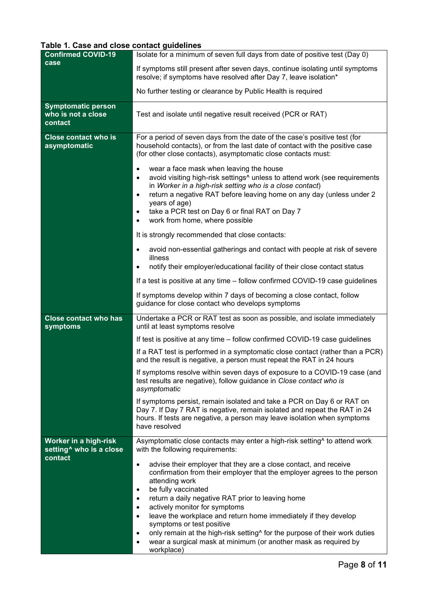## **Table 1. Case and close contact guidelines**

| <b>Confirmed COVID-19</b>                                    | Isolate for a minimum of seven full days from date of positive test (Day 0)                                                                                                                                                                                                                                                                                                                                                                                                                                                                        |  |
|--------------------------------------------------------------|----------------------------------------------------------------------------------------------------------------------------------------------------------------------------------------------------------------------------------------------------------------------------------------------------------------------------------------------------------------------------------------------------------------------------------------------------------------------------------------------------------------------------------------------------|--|
| case                                                         | If symptoms still present after seven days, continue isolating until symptoms<br>resolve; if symptoms have resolved after Day 7, leave isolation*                                                                                                                                                                                                                                                                                                                                                                                                  |  |
|                                                              | No further testing or clearance by Public Health is required                                                                                                                                                                                                                                                                                                                                                                                                                                                                                       |  |
| <b>Symptomatic person</b><br>who is not a close<br>contact   | Test and isolate until negative result received (PCR or RAT)                                                                                                                                                                                                                                                                                                                                                                                                                                                                                       |  |
| <b>Close contact who is</b><br>asymptomatic                  | For a period of seven days from the date of the case's positive test (for<br>household contacts), or from the last date of contact with the positive case<br>(for other close contacts), asymptomatic close contacts must:                                                                                                                                                                                                                                                                                                                         |  |
|                                                              | wear a face mask when leaving the house<br>avoid visiting high-risk settings <sup>^</sup> unless to attend work (see requirements<br>$\bullet$<br>in Worker in a high-risk setting who is a close contact)<br>return a negative RAT before leaving home on any day (unless under 2<br>$\bullet$<br>years of age)<br>take a PCR test on Day 6 or final RAT on Day 7<br>٠<br>work from home, where possible<br>$\bullet$                                                                                                                             |  |
|                                                              | It is strongly recommended that close contacts:                                                                                                                                                                                                                                                                                                                                                                                                                                                                                                    |  |
|                                                              | avoid non-essential gatherings and contact with people at risk of severe<br>$\bullet$<br>illness                                                                                                                                                                                                                                                                                                                                                                                                                                                   |  |
|                                                              | notify their employer/educational facility of their close contact status<br>٠                                                                                                                                                                                                                                                                                                                                                                                                                                                                      |  |
|                                                              | If a test is positive at any time - follow confirmed COVID-19 case guidelines                                                                                                                                                                                                                                                                                                                                                                                                                                                                      |  |
|                                                              | If symptoms develop within 7 days of becoming a close contact, follow<br>guidance for close contact who develops symptoms                                                                                                                                                                                                                                                                                                                                                                                                                          |  |
| <b>Close contact who has</b><br>symptoms                     | Undertake a PCR or RAT test as soon as possible, and isolate immediately<br>until at least symptoms resolve                                                                                                                                                                                                                                                                                                                                                                                                                                        |  |
|                                                              | If test is positive at any time - follow confirmed COVID-19 case guidelines                                                                                                                                                                                                                                                                                                                                                                                                                                                                        |  |
|                                                              | If a RAT test is performed in a symptomatic close contact (rather than a PCR)<br>and the result is negative, a person must repeat the RAT in 24 hours                                                                                                                                                                                                                                                                                                                                                                                              |  |
|                                                              | If symptoms resolve within seven days of exposure to a COVID-19 case (and<br>test results are negative), follow guidance in Close contact who is<br>asymptomatic                                                                                                                                                                                                                                                                                                                                                                                   |  |
|                                                              | If symptoms persist, remain isolated and take a PCR on Day 6 or RAT on<br>Day 7. If Day 7 RAT is negative, remain isolated and repeat the RAT in 24<br>hours. If tests are negative, a person may leave isolation when symptoms<br>have resolved                                                                                                                                                                                                                                                                                                   |  |
| Worker in a high-risk<br>setting <sup>^</sup> who is a close | Asymptomatic close contacts may enter a high-risk setting^ to attend work<br>with the following requirements:                                                                                                                                                                                                                                                                                                                                                                                                                                      |  |
| contact                                                      | advise their employer that they are a close contact, and receive<br>$\bullet$<br>confirmation from their employer that the employer agrees to the person<br>attending work<br>be fully vaccinated<br>$\bullet$<br>return a daily negative RAT prior to leaving home<br>$\bullet$<br>actively monitor for symptoms<br>$\bullet$<br>leave the workplace and return home immediately if they develop<br>$\bullet$<br>symptoms or test positive<br>only remain at the high-risk setting <sup>^</sup> for the purpose of their work duties<br>$\bullet$ |  |
|                                                              | wear a surgical mask at minimum (or another mask as required by<br>$\bullet$<br>workplace)                                                                                                                                                                                                                                                                                                                                                                                                                                                         |  |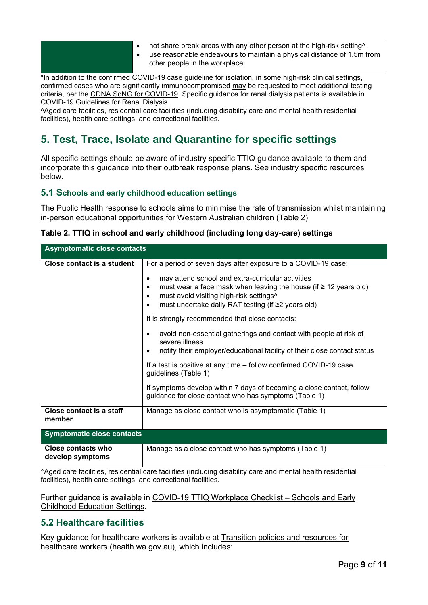- not share break areas with any other person at the high-risk setting^
- use reasonable endeavours to maintain a physical distance of 1.5m from other people in the workplace

\*In addition to the confirmed COVID-19 case guideline for isolation, in some high-risk clinical settings, confirmed cases who are significantly immunocompromised may be requested to meet additional testing criteria, per the [CDNA SoNG for COVID-19.](https://www1.health.gov.au/internet/main/publishing.nsf/Content/cdna-song-novel-coronavirus.htm) Specific guidance for renal dialysis patients is available in [COVID-19 Guidelines for Renal Dialysis.](https://ww2.health.wa.gov.au/%7E/media/Corp/Documents/Health-for/Infectious-disease/COVID19/COVID-19-Guidelines-for-Renal-Dialysis.pdf)

^Aged care facilities, residential care facilities (including disability care and mental health residential facilities), health care settings, and correctional facilities.

## <span id="page-8-0"></span>**5. Test, Trace, Isolate and Quarantine for specific settings**

All specific settings should be aware of industry specific TTIQ guidance available to them and incorporate this guidance into their outbreak response plans. See industry specific resources below.

#### <span id="page-8-1"></span>**5.1 Schools and early childhood education settings**

The Public Health response to schools aims to minimise the rate of transmission whilst maintaining in-person educational opportunities for Western Australian children (Table 2).

| $\overline{\phantom{a}}$ . The model of any conducted including form as $\overline{\phantom{a}}$ . The set of $\overline{\phantom{a}}$ |                                                                                                                                                                                                                                                                                     |  |  |  |
|----------------------------------------------------------------------------------------------------------------------------------------|-------------------------------------------------------------------------------------------------------------------------------------------------------------------------------------------------------------------------------------------------------------------------------------|--|--|--|
| <b>Asymptomatic close contacts</b>                                                                                                     |                                                                                                                                                                                                                                                                                     |  |  |  |
| Close contact is a student                                                                                                             | For a period of seven days after exposure to a COVID-19 case:                                                                                                                                                                                                                       |  |  |  |
|                                                                                                                                        | may attend school and extra-curricular activities<br>$\bullet$<br>must wear a face mask when leaving the house (if $\geq$ 12 years old)<br>$\bullet$<br>must avoid visiting high-risk settings <sup>^</sup><br>٠<br>must undertake daily RAT testing (if ≥2 years old)<br>$\bullet$ |  |  |  |
|                                                                                                                                        | It is strongly recommended that close contacts:                                                                                                                                                                                                                                     |  |  |  |
|                                                                                                                                        | avoid non-essential gatherings and contact with people at risk of<br>$\bullet$<br>severe illness<br>notify their employer/educational facility of their close contact status<br>٠                                                                                                   |  |  |  |
|                                                                                                                                        |                                                                                                                                                                                                                                                                                     |  |  |  |
|                                                                                                                                        | If a test is positive at any time - follow confirmed COVID-19 case<br>guidelines (Table 1)                                                                                                                                                                                          |  |  |  |
|                                                                                                                                        | If symptoms develop within 7 days of becoming a close contact, follow<br>guidance for close contact who has symptoms (Table 1)                                                                                                                                                      |  |  |  |
| Close contact is a staff<br>member                                                                                                     | Manage as close contact who is asymptomatic (Table 1)                                                                                                                                                                                                                               |  |  |  |
| <b>Symptomatic close contacts</b>                                                                                                      |                                                                                                                                                                                                                                                                                     |  |  |  |
| <b>Close contacts who</b>                                                                                                              | Manage as a close contact who has symptoms (Table 1)                                                                                                                                                                                                                                |  |  |  |

**Table 2. TTIQ in school and early childhood (including long day-care) settings**

^Aged care facilities, residential care facilities (including disability care and mental health residential facilities), health care settings, and correctional facilities.

Further guidance is available in [COVID-19 TTIQ Workplace Checklist –](https://ww2.health.wa.gov.au/%7E/media/Corp/Documents/Health-for/Infectious-disease/COVID19/TTIQ/COVID-19-TTIQ-workplace-checklist-schools-and-early-childhood-education-settings.pdf) Schools and Early [Childhood Education Settings.](https://ww2.health.wa.gov.au/%7E/media/Corp/Documents/Health-for/Infectious-disease/COVID19/TTIQ/COVID-19-TTIQ-workplace-checklist-schools-and-early-childhood-education-settings.pdf)

### <span id="page-8-2"></span>**5.2 Healthcare facilities**

**develop symptoms**

Key guidance for healthcare workers is available at [Transition policies and resources for](https://ww2.health.wa.gov.au/Articles/A_E/Coronavirus/COVID19-information-for-health-professionals/Transition-policies-and-resources-for-healthcare-workers)  [healthcare workers \(health.wa.gov.au\),](https://ww2.health.wa.gov.au/Articles/A_E/Coronavirus/COVID19-information-for-health-professionals/Transition-policies-and-resources-for-healthcare-workers) which includes: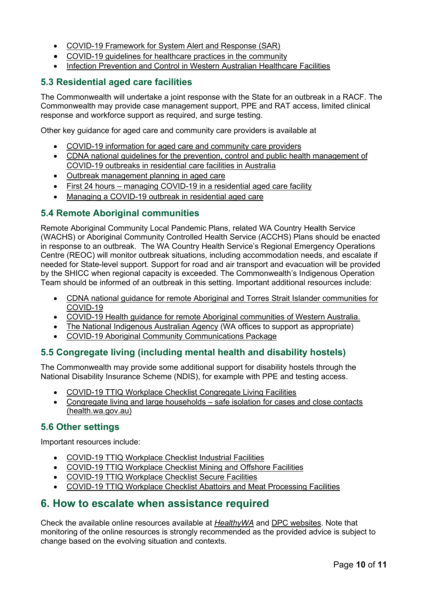- [COVID-19 Framework for System Alert and Response \(SAR\)](https://ww2.health.wa.gov.au/Articles/A_E/Coronavirus/COVID19-Framework-for-System-Alert-and-Response)
- [COVID-19 guidelines for healthcare practices in the community](https://ww2.health.wa.gov.au/%7E/media/Corp/Documents/Health-for/Infectious-disease/COVID19/COVID19-guidelines-for-health-care-practices-in-the-community.pdf)
- [Infection Prevention and Control in Western Australian Healthcare Facilities](https://ww2.health.wa.gov.au/%7E/media/Corp/Documents/Health-for/Infectious-disease/COVID19/COVID19-Infection-Prevention-and-Control-in-Hospitals.pdf)

## <span id="page-9-0"></span>**5.3 Residential aged care facilities**

The Commonwealth will undertake a joint response with the State for an outbreak in a RACF. The Commonwealth may provide case management support, PPE and RAT access, limited clinical response and workforce support as required, and surge testing.

Other key guidance for aged care and community care providers is available at

- [COVID-19 information for aged care and community care providers](https://ww2.health.wa.gov.au/Articles/A_E/Coronavirus/COVID19-information-for-Aged-Care-and-Community-Care-Providers)
- [CDNA national guidelines for the prevention, control and public health management of](https://www.health.gov.au/resources/publications/cdna-national-guidelines-for-the-prevention-control-and-public-health-management-of-covid-19-outbreaks-in-residential-care-facilities-in-australia)  [COVID-19 outbreaks in residential care facilities in Australia](https://www.health.gov.au/resources/publications/cdna-national-guidelines-for-the-prevention-control-and-public-health-management-of-covid-19-outbreaks-in-residential-care-facilities-in-australia)
- [Outbreak management planning in aged care](https://www.agedcarequality.gov.au/resources/outbreak-management-planning-aged-care)
- First 24 hours [managing COVID-19 in a residential aged care facility](https://www.health.gov.au/resources/publications/first-24-hours-managing-covid-19-in-a-residential-aged-care-facility)
- [Managing a COVID-19 outbreak in residential aged care](https://www.health.gov.au/node/18602/managing-a-covid-19-outbreak-in-residential-aged-care)

#### <span id="page-9-1"></span>**5.4 Remote Aboriginal communities**

Remote Aboriginal Community Local Pandemic Plans, related WA Country Health Service (WACHS) or Aboriginal Community Controlled Health Service (ACCHS) Plans should be enacted in response to an outbreak. The WA Country Health Service's Regional Emergency Operations Centre (REOC) will monitor outbreak situations, including accommodation needs, and escalate if needed for State-level support. Support for road and air transport and evacuation will be provided by the SHICC when regional capacity is exceeded. The Commonwealth's Indigenous Operation Team should be informed of an outbreak in this setting. Important additional resources include:

- [CDNA national guidance for remote Aboriginal](https://www.health.gov.au/resources/publications/cdna-national-guidance-for-remote-aboriginal-and-torres-strait-islander-communities-for-covid-19) and Torres Strait Islander communities for [COVID-19](https://www.health.gov.au/resources/publications/cdna-national-guidance-for-remote-aboriginal-and-torres-strait-islander-communities-for-covid-19)
- [COVID-19 Health guidance for remote Aboriginal communities of Western Australia.](https://ww2.health.wa.gov.au/-/media/Files/Corporate/general-documents/Infectious-diseases/PDF/Coronavirus/COVID-19-WA-guidance-for-remote-Aboriginal-communities.pdf)
- [The National Indigenous Australian Agency](https://www.niaa.gov.au/) (WA offices to support as appropriate)
- [COVID-19 Aboriginal Community Communications Package](https://ww2.health.wa.gov.au/%7E/media/Corp/Documents/Health-for/Infectious-disease/COVID19/COVID19-Remote-Aboriginal-Communities-Outbreak-Communications-Package.pdf)

### <span id="page-9-2"></span>**5.5 Congregate living (including mental health and disability hostels)**

The Commonwealth may provide some additional support for disability hostels through the National Disability Insurance Scheme (NDIS), for example with PPE and testing access.

- [COVID-19 TTIQ Workplace Checklist Congregate Living Facilities](https://ww2.health.wa.gov.au/%7E/media/Corp/Documents/Health-for/Infectious-disease/COVID19/Industry-Checklist/20220304---TTIQ-Workplace-Checklist-Congregate-Living-Facilities---V1---Public-Information-Cell.pdf)
- Congregate living and large [households](https://ww2.health.wa.gov.au/%7E/media/Corp/Documents/Health-for/Infectious-disease/COVID19/Congregate-living-and-large-households-Safe-isolation-for-cases-and-close-contacts.pdf) safe isolation for cases and close contacts (health.wa.gov.au)

#### <span id="page-9-3"></span>**5.6 Other settings**

Important resources include:

- [COVID-19 TTIQ Workplace Checklist Industrial Facilities](https://ww2.health.wa.gov.au/%7E/media/Corp/Documents/Health-for/Infectious-disease/COVID19/Industry-Checklist/20220304---TTIQ-Workplace-Checklist-Industrial-Facilities---V1----Public-Information.pdf)
- [COVID-19 TTIQ Workplace Checklist Mining and Offshore Facilities](https://ww2.health.wa.gov.au/%7E/media/Corp/Documents/Health-for/Infectious-disease/COVID19/Industry-Checklist/20220304---TTIQ-Workplace-Checklist-Mining-and-Offshore-Facilities---Public-Information-Cell.pdf)
- [COVID-19 TTIQ Workplace Checklist Secure Facilities](https://ww2.health.wa.gov.au/%7E/media/Corp/Documents/Health-for/Infectious-disease/COVID19/Industry-Checklist/20220304---TTIQ-Workplace-Checklist-Secure-Facilities---V1---Public-Information-Cell.pdf)
- [COVID-19 TTIQ Workplace Checklist Abattoirs and Meat Processing Facilities](https://ww2.health.wa.gov.au/%7E/media/Corp/Documents/Health-for/Infectious-disease/COVID19/TTIQ/COVID19-Response-checklist-Abbatoirs.pdf)

## <span id="page-9-4"></span>**6. How to escalate when assistance required**

Check the available online resources available at *[HealthyWA](https://www.healthywa.wa.gov.au/)* and [DPC websites.](https://www.wa.gov.au/organisation/department-of-the-premier-and-cabinet) Note that monitoring of the online resources is strongly recommended as the provided advice is subject to change based on the evolving situation and contexts.